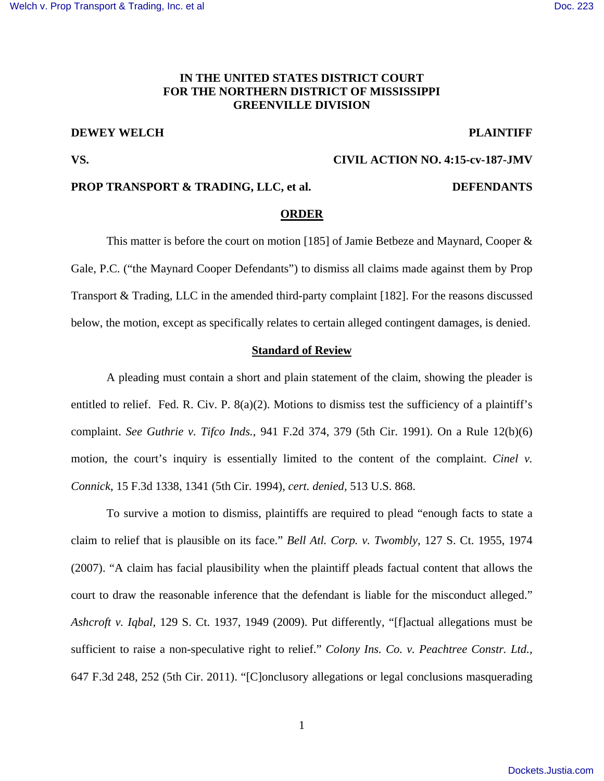## **IN THE UNITED STATES DISTRICT COURT FOR THE NORTHERN DISTRICT OF MISSISSIPPI GREENVILLE DIVISION**

## **DEWEY WELCH PLAINTIFF**

**VS. CIVIL ACTION NO. 4:15-cv-187-JMV** 

## **PROP TRANSPORT & TRADING, LLC, et al. DEFENDANTS**

### **ORDER**

 This matter is before the court on motion [185] of Jamie Betbeze and Maynard, Cooper & Gale, P.C. ("the Maynard Cooper Defendants") to dismiss all claims made against them by Prop Transport & Trading, LLC in the amended third-party complaint [182]. For the reasons discussed below, the motion, except as specifically relates to certain alleged contingent damages, is denied.

### **Standard of Review**

 A pleading must contain a short and plain statement of the claim, showing the pleader is entitled to relief. Fed. R. Civ. P. 8(a)(2). Motions to dismiss test the sufficiency of a plaintiff's complaint. *See Guthrie v. Tifco Inds.*, 941 F.2d 374, 379 (5th Cir. 1991). On a Rule 12(b)(6) motion, the court's inquiry is essentially limited to the content of the complaint. *Cinel v. Connick*, 15 F.3d 1338, 1341 (5th Cir. 1994), *cert. denied,* 513 U.S. 868.

 To survive a motion to dismiss, plaintiffs are required to plead "enough facts to state a claim to relief that is plausible on its face." *Bell Atl. Corp. v. Twombly*, 127 S. Ct. 1955, 1974 (2007). "A claim has facial plausibility when the plaintiff pleads factual content that allows the court to draw the reasonable inference that the defendant is liable for the misconduct alleged." *Ashcroft v. Iqbal*, 129 S. Ct. 1937, 1949 (2009). Put differently, "[f]actual allegations must be sufficient to raise a non-speculative right to relief." *Colony Ins. Co. v. Peachtree Constr. Ltd.*, 647 F.3d 248, 252 (5th Cir. 2011). "[C]onclusory allegations or legal conclusions masquerading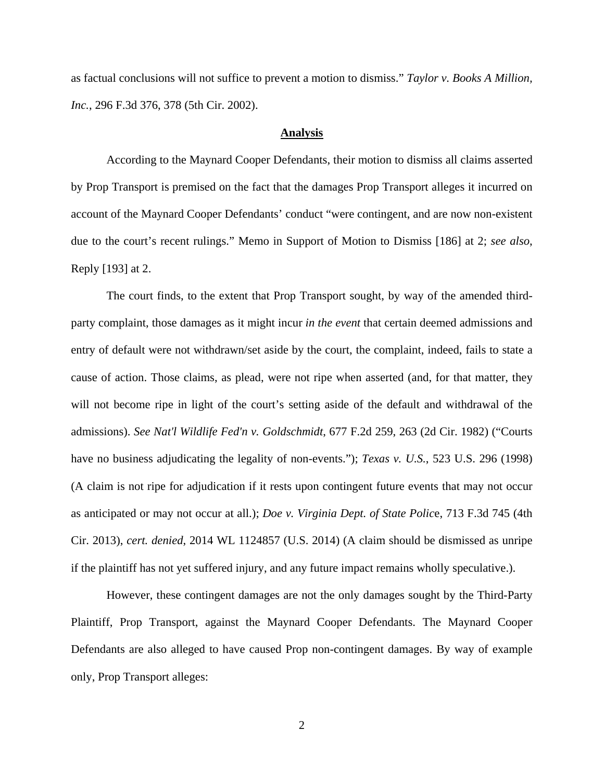as factual conclusions will not suffice to prevent a motion to dismiss." *Taylor v. Books A Million, Inc.*, 296 F.3d 376, 378 (5th Cir. 2002).

### **Analysis**

 According to the Maynard Cooper Defendants, their motion to dismiss all claims asserted by Prop Transport is premised on the fact that the damages Prop Transport alleges it incurred on account of the Maynard Cooper Defendants' conduct "were contingent, and are now non-existent due to the court's recent rulings." Memo in Support of Motion to Dismiss [186] at 2; *see also*, Reply [193] at 2.

The court finds, to the extent that Prop Transport sought, by way of the amended thirdparty complaint, those damages as it might incur *in the event* that certain deemed admissions and entry of default were not withdrawn/set aside by the court, the complaint, indeed, fails to state a cause of action. Those claims, as plead, were not ripe when asserted (and, for that matter, they will not become ripe in light of the court's setting aside of the default and withdrawal of the admissions). *See Nat'l Wildlife Fed'n v. Goldschmidt*, 677 F.2d 259, 263 (2d Cir. 1982) ("Courts have no business adjudicating the legality of non-events."); *Texas v. U.S.*, 523 U.S. 296 (1998) (A claim is not ripe for adjudication if it rests upon contingent future events that may not occur as anticipated or may not occur at all.); *Doe v. Virginia Dept. of State Polic*e, 713 F.3d 745 (4th Cir. 2013), *cert. denied*, 2014 WL 1124857 (U.S. 2014) (A claim should be dismissed as unripe if the plaintiff has not yet suffered injury, and any future impact remains wholly speculative.).

 However, these contingent damages are not the only damages sought by the Third-Party Plaintiff, Prop Transport, against the Maynard Cooper Defendants. The Maynard Cooper Defendants are also alleged to have caused Prop non-contingent damages. By way of example only, Prop Transport alleges: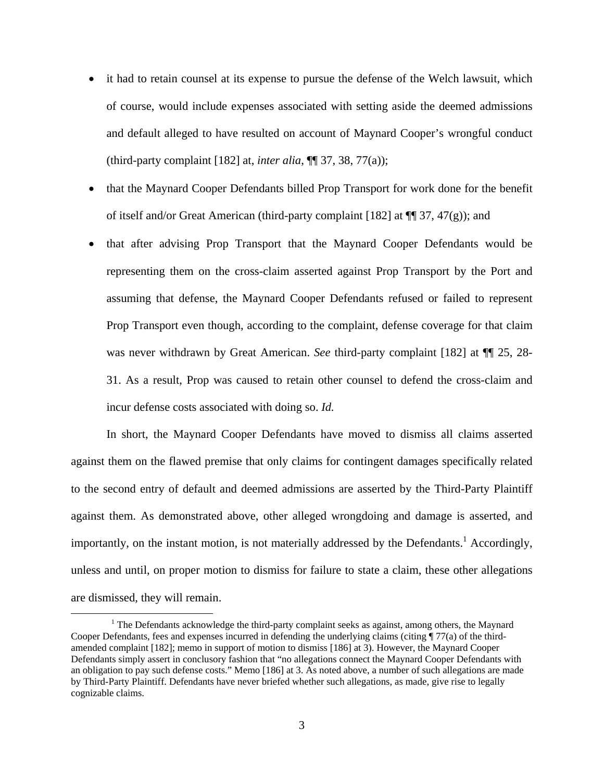- it had to retain counsel at its expense to pursue the defense of the Welch lawsuit, which of course, would include expenses associated with setting aside the deemed admissions and default alleged to have resulted on account of Maynard Cooper's wrongful conduct (third-party complaint [182] at, *inter alia*, ¶¶ 37, 38, 77(a));
- that the Maynard Cooper Defendants billed Prop Transport for work done for the benefit of itself and/or Great American (third-party complaint [182] at  $\P$   $\mathfrak{N}$ , 47(g)); and
- that after advising Prop Transport that the Maynard Cooper Defendants would be representing them on the cross-claim asserted against Prop Transport by the Port and assuming that defense, the Maynard Cooper Defendants refused or failed to represent Prop Transport even though, according to the complaint, defense coverage for that claim was never withdrawn by Great American. *See* third-party complaint [182] at ¶¶ 25, 28- 31. As a result, Prop was caused to retain other counsel to defend the cross-claim and incur defense costs associated with doing so. *Id.*

 In short, the Maynard Cooper Defendants have moved to dismiss all claims asserted against them on the flawed premise that only claims for contingent damages specifically related to the second entry of default and deemed admissions are asserted by the Third-Party Plaintiff against them. As demonstrated above, other alleged wrongdoing and damage is asserted, and importantly, on the instant motion, is not materially addressed by the Defendants.<sup>1</sup> Accordingly, unless and until, on proper motion to dismiss for failure to state a claim, these other allegations are dismissed, they will remain.

 $\overline{a}$ 

<sup>&</sup>lt;sup>1</sup> The Defendants acknowledge the third-party complaint seeks as against, among others, the Maynard Cooper Defendants, fees and expenses incurred in defending the underlying claims (citing ¶ 77(a) of the thirdamended complaint [182]; memo in support of motion to dismiss [186] at 3). However, the Maynard Cooper Defendants simply assert in conclusory fashion that "no allegations connect the Maynard Cooper Defendants with an obligation to pay such defense costs." Memo [186] at 3. As noted above, a number of such allegations are made by Third-Party Plaintiff. Defendants have never briefed whether such allegations, as made, give rise to legally cognizable claims.